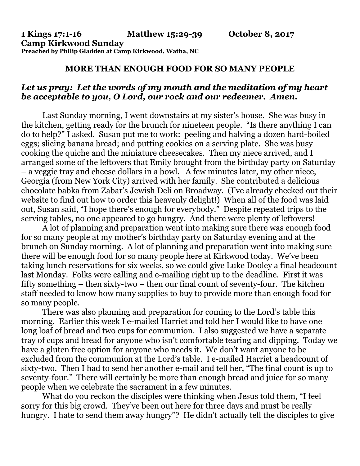## **MORE THAN ENOUGH FOOD FOR SO MANY PEOPLE**

## *Let us pray: Let the words of my mouth and the meditation of my heart be acceptable to you, O Lord, our rock and our redeemer. Amen.*

Last Sunday morning, I went downstairs at my sister's house. She was busy in the kitchen, getting ready for the brunch for nineteen people. "Is there anything I can do to help?" I asked. Susan put me to work: peeling and halving a dozen hard-boiled eggs; slicing banana bread; and putting cookies on a serving plate. She was busy cooking the quiche and the miniature cheesecakes. Then my niece arrived, and I arranged some of the leftovers that Emily brought from the birthday party on Saturday – a veggie tray and cheese dollars in a bowl. A few minutes later, my other niece, Georgia (from New York City) arrived with her family. She contributed a delicious chocolate babka from Zabar's Jewish Deli on Broadway. (I've already checked out their website to find out how to order this heavenly delight!) When all of the food was laid out, Susan said, "I hope there's enough for everybody." Despite repeated trips to the serving tables, no one appeared to go hungry. And there were plenty of leftovers!

A lot of planning and preparation went into making sure there was enough food for so many people at my mother's birthday party on Saturday evening and at the brunch on Sunday morning. A lot of planning and preparation went into making sure there will be enough food for so many people here at Kirkwood today. We've been taking lunch reservations for six weeks, so we could give Luke Dooley a final headcount last Monday. Folks were calling and e-mailing right up to the deadline. First it was fifty something – then sixty-two – then our final count of seventy-four. The kitchen staff needed to know how many supplies to buy to provide more than enough food for so many people.

There was also planning and preparation for coming to the Lord's table this morning. Earlier this week I e-mailed Harriet and told her I would like to have one long loaf of bread and two cups for communion. I also suggested we have a separate tray of cups and bread for anyone who isn't comfortable tearing and dipping. Today we have a gluten free option for anyone who needs it. We don't want anyone to be excluded from the communion at the Lord's table. I e-mailed Harriet a headcount of sixty-two. Then I had to send her another e-mail and tell her, "The final count is up to seventy-four." There will certainly be more than enough bread and juice for so many people when we celebrate the sacrament in a few minutes.

What do you reckon the disciples were thinking when Jesus told them, "I feel sorry for this big crowd. They've been out here for three days and must be really hungry. I hate to send them away hungry"? He didn't actually tell the disciples to give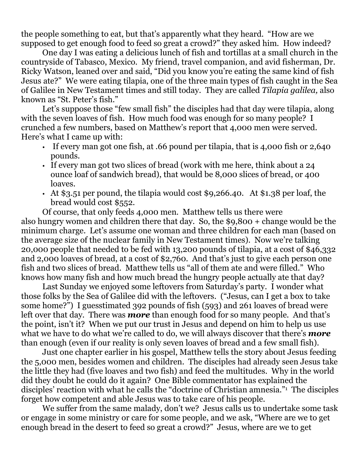the people something to eat, but that's apparently what they heard. "How are we supposed to get enough food to feed so great a crowd?" they asked him. How indeed?

One day I was eating a delicious lunch of fish and tortillas at a small church in the countryside of Tabasco, Mexico. My friend, travel companion, and avid fisherman, Dr. Ricky Watson, leaned over and said, "Did you know you're eating the same kind of fish Jesus ate?" We were eating tilapia, one of the three main types of fish caught in the Sea of Galilee in New Testament times and still today. They are called *Tilapia galilea,* also known as "St. Peter's fish."

Let's suppose those "few small fish" the disciples had that day were tilapia, along with the seven loaves of fish. How much food was enough for so many people? I crunched a few numbers, based on Matthew's report that 4,000 men were served. Here's what I came up with:

- If every man got one fish, at .66 pound per tilapia, that is 4,000 fish or 2,640 pounds.
- If every man got two slices of bread (work with me here, think about a 24 ounce loaf of sandwich bread), that would be 8,000 slices of bread, or 400 loaves.
- At \$3.51 per pound, the tilapia would cost \$9,266.40. At \$1.38 per loaf, the bread would cost \$552.

Of course, that only feeds 4,000 men. Matthew tells us there were also hungry women and children there that day. So, the \$9,800 + change would be the minimum charge. Let's assume one woman and three children for each man (based on the average size of the nuclear family in New Testament times). Now we're talking 20,000 people that needed to be fed with 13,200 pounds of tilapia, at a cost of \$46,332 and 2,000 loaves of bread, at a cost of \$2,760. And that's just to give each person one fish and two slices of bread. Matthew tells us "all of them ate and were filled." Who knows how many fish and how much bread the hungry people actually ate that day?

Last Sunday we enjoyed some leftovers from Saturday's party. I wonder what those folks by the Sea of Galilee did with the leftovers. ("Jesus, can I get a box to take some home?") I guesstimated 392 pounds of fish (593) and 261 loaves of bread were left over that day. There was *more* than enough food for so many people. And that's the point, isn't it? When we put our trust in Jesus and depend on him to help us use what we have to do what we're called to do, we will always discover that there's *more* than enough (even if our reality is only seven loaves of bread and a few small fish).

Just one chapter earlier in his gospel, Matthew tells the story about Jesus feeding the 5,000 men, besides women and children. The disciples had already seen Jesus take the little they had (five loaves and two fish) and feed the multitudes. Why in the world did they doubt he could do it again? One Bible commentator has explained the disciples' reaction with what he calls the "doctrine of Christian amnesia."<sup>1</sup> The disciples forget how competent and able Jesus was to take care of his people.

We suffer from the same malady, don't we? Jesus calls us to undertake some task or engage in some ministry or care for some people, and we ask, "Where are we to get enough bread in the desert to feed so great a crowd?" Jesus, where are we to get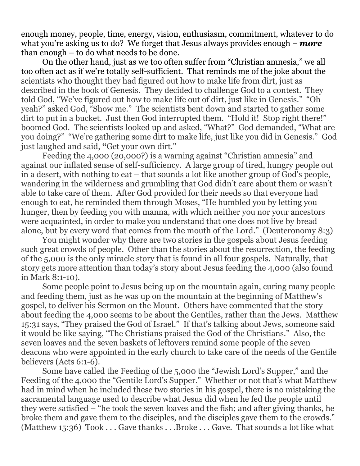enough money, people, time, energy, vision, enthusiasm, commitment, whatever to do what you're asking us to do? We forget that Jesus always provides enough – *more* than enough – to do what needs to be done.

On the other hand, just as we too often suffer from "Christian amnesia," we all too often act as if we're totally self-sufficient. That reminds me of the joke about the scientists who thought they had figured out how to make life from dirt, just as described in the book of Genesis. They decided to challenge God to a contest. They told God, "We've figured out how to make life out of dirt, just like in Genesis." "Oh yeah?" asked God, "Show me." The scientists bent down and started to gather some dirt to put in a bucket. Just then God interrupted them. "Hold it! Stop right there!" boomed God. The scientists looked up and asked, "What?" God demanded, "What are you doing?" "We're gathering some dirt to make life, just like you did in Genesis." God just laughed and said, **"**Get your own dirt."

Feeding the 4,000 (20,000?) is a warning against "Christian amnesia" and against our inflated sense of self-sufficiency. A large group of tired, hungry people out in a desert, with nothing to eat – that sounds a lot like another group of God's people, wandering in the wilderness and grumbling that God didn't care about them or wasn't able to take care of them. After God provided for their needs so that everyone had enough to eat, he reminded them through Moses, "He humbled you by letting you hunger, then by feeding you with manna, with which neither you nor your ancestors were acquainted, in order to make you understand that one does not live by bread alone, but by every word that comes from the mouth of the Lord." (Deuteronomy 8:3)

You might wonder why there are two stories in the gospels about Jesus feeding such great crowds of people. Other than the stories about the resurrection, the feeding of the 5,000 is the only miracle story that is found in all four gospels. Naturally, that story gets more attention than today's story about Jesus feeding the 4,000 (also found in Mark 8:1-10).

Some people point to Jesus being up on the mountain again, curing many people and feeding them, just as he was up on the mountain at the beginning of Matthew's gospel, to deliver his Sermon on the Mount. Others have commented that the story about feeding the 4,000 seems to be about the Gentiles, rather than the Jews. Matthew 15:31 says, "They praised the God of Israel." If that's talking about Jews, someone said it would be like saying, "The Christians praised the God of the Christians." Also, the seven loaves and the seven baskets of leftovers remind some people of the seven deacons who were appointed in the early church to take care of the needs of the Gentile believers (Acts 6:1-6).

Some have called the Feeding of the 5,000 the "Jewish Lord's Supper," and the Feeding of the 4,000 the "Gentile Lord's Supper." Whether or not that's what Matthew had in mind when he included these two stories in his gospel, there is no mistaking the sacramental language used to describe what Jesus did when he fed the people until they were satisfied – "he took the seven loaves and the fish; and after giving thanks, he broke them and gave them to the disciples, and the disciples gave them to the crowds." (Matthew 15:36) Took . . . Gave thanks . . .Broke . . . Gave. That sounds a lot like what